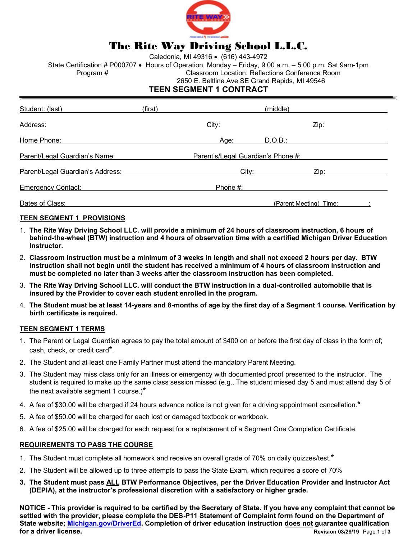

# The Rite Way Driving School L.L.C.

Caledonia, MI 49316 • (616) 443-4972

State Certification # P000707 • Hours of Operation Monday - Friday, 9:00 a.m. - 5:00 p.m. Sat 9am-1pm Program # Classroom Location: Reflections Conference Room 2650 E. Beltline Ave SE Grand Rapids, MI 49546

### **TEEN SEGMENT 1 CONTRACT**

| Student: (last)                  | (first) |                                    | (middle) |      |
|----------------------------------|---------|------------------------------------|----------|------|
| Address:                         |         | City:                              |          | Zip: |
| Home Phone:                      |         | Age:                               | D.O.B.:  |      |
| Parent/Legal Guardian's Name:    |         | Parent's/Legal Guardian's Phone #: |          |      |
| Parent/Legal Guardian's Address: |         | City:                              |          | Zip: |
| <b>Emergency Contact:</b>        |         | Phone #:                           |          |      |
| Dates of Class:                  |         | (Parent Meeting) Time:             |          |      |

#### **TEEN SEGMENT 1 PROVISIONS**

- 1. **The Rite Way Driving School LLC. will provide a minimum of 24 hours of classroom instruction, 6 hours of behind-the-wheel (BTW) instruction and 4 hours of observation time with a certified Michigan Driver Education Instructor.**
- 2. **Classroom instruction must be a minimum of 3 weeks in length and shall not exceed 2 hours per day. BTW instruction shall not begin until the student has received a minimum of 4 hours of classroom instruction and must be completed no later than 3 weeks after the classroom instruction has been completed.**
- 3. **The Rite Way Driving School LLC. will conduct the BTW instruction in a dual-controlled automobile that is insured by the Provider to cover each student enrolled in the program.**
- 4. **The Student must be at least 14-years and 8-months of age by the first day of a Segment 1 course. Verification by birth certificate is required.**

#### **TEEN SEGMENT 1 TERMS**

- 1. The Parent or Legal Guardian agrees to pay the total amount of \$400 on or before the first day of class in the form of; cash, check, or credit card**\***.
- 2. The Student and at least one Family Partner must attend the mandatory Parent Meeting.
- 3. The Student may miss class only for an illness or emergency with documented proof presented to the instructor. The student is required to make up the same class session missed (e.g., The student missed day 5 and must attend day 5 of the next available segment 1 course.)**\***
- 4. A fee of \$30.00 will be charged if 24 hours advance notice is not given for a driving appointment cancellation.**\***
- 5. A fee of \$50.00 will be charged for each lost or damaged textbook or workbook.
- 6. A fee of \$25.00 will be charged for each request for a replacement of a Segment One Completion Certificate.

#### **REQUIREMENTS TO PASS THE COURSE**

- 1. The Student must complete all homework and receive an overall grade of 70% on daily quizzes/test.**\***
- 2. The Student will be allowed up to three attempts to pass the State Exam, which requires a score of 70%
- **3. The Student must pass ALL BTW Performance Objectives, per the Driver Education Provider and Instructor Act (DEPIA), at the instructor's professional discretion with a satisfactory or higher grade.**

**NOTICE - This provider is required to be certified by the Secretary of State. If you have any complaint that cannot be settled with the provider, please complete the DES-P11 Statement of Complaint form found on the Department of State website; Michigan.gov/DriverEd. Completion of driver education instruction does not guarantee qualification for a driver license. Revision 03/29/19** Page **1** of **3**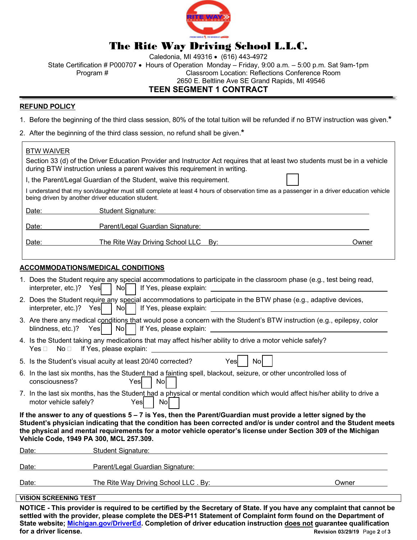

# The Rite Way Driving School L.L.C.

Caledonia, MI 49316 • (616) 443-4972

State Certification # P000707 • Hours of Operation Monday - Friday, 9:00 a.m. - 5:00 p.m. Sat 9am-1pm Program # Classroom Location: Reflections Conference Room

2650 E. Beltline Ave SE Grand Rapids, MI 49546

## **TEEN SEGMENT 1 CONTRACT**

### **REFUND POLICY**

1. Before the beginning of the third class session, 80% of the total tuition will be refunded if no BTW instruction was given.**\***

2. After the beginning of the third class session, no refund shall be given.**\***

Section 33 (d) of the Driver Education Provider and Instructor Act requires that at least two students must be in a vehicle during BTW instruction unless a parent waives this requirement in writing.

I, the Parent/Legal Guardian of the Student, waive this requirement.

I understand that my son/daughter must still complete at least 4 hours of observation time as a passenger in a driver education vehicle being driven by another driver education student.

Date: Student Signature:

Date: Parent/Legal Guardian Signature:

Date: The Rite Way Driving School LLC By: The Rite Way Driving School LLC By:

### **ACCOMMODATIONS/MEDICAL CONDITIONS**

|                                                                                                                                                                                                                                                                                                                                                                                                  | 1. Does the Student require any special accommodations to participate in the classroom phase (e.g., test being read,<br>interpreter, etc.)? $Yes$   No                                                                                                                                                                                                                                                   |  |  |  |  |  |  |
|--------------------------------------------------------------------------------------------------------------------------------------------------------------------------------------------------------------------------------------------------------------------------------------------------------------------------------------------------------------------------------------------------|----------------------------------------------------------------------------------------------------------------------------------------------------------------------------------------------------------------------------------------------------------------------------------------------------------------------------------------------------------------------------------------------------------|--|--|--|--|--|--|
|                                                                                                                                                                                                                                                                                                                                                                                                  | 2. Does the Student require any special accommodations to participate in the BTW phase (e.g., adaptive devices,<br>$\vert$ No $\vert$<br>interpreter, etc.)? Yes<br>If Yes, please explain: <u>contract the contract of the set of the set of the set of the set of the set of the set of the set of the set of the set of the set of the set of the set of the set of the set of the set of the set</u> |  |  |  |  |  |  |
|                                                                                                                                                                                                                                                                                                                                                                                                  | 3. Are there any medical conditions that would pose a concern with the Student's BTW instruction (e.g., epilepsy, color<br>blindness, etc.)? Yes                                                                                                                                                                                                                                                         |  |  |  |  |  |  |
|                                                                                                                                                                                                                                                                                                                                                                                                  | 4. Is the Student taking any medications that may affect his/her ability to drive a motor vehicle safely?<br>$No \Box$ If Yes, please explain:<br>Yes $\sqcap$<br><u> 1980 - Jan Barat, amerikan p</u>                                                                                                                                                                                                   |  |  |  |  |  |  |
|                                                                                                                                                                                                                                                                                                                                                                                                  | 5. Is the Student's visual acuity at least 20/40 corrected?<br>Yes<br>Nol                                                                                                                                                                                                                                                                                                                                |  |  |  |  |  |  |
|                                                                                                                                                                                                                                                                                                                                                                                                  | 6. In the last six months, has the Student had a fainting spell, blackout, seizure, or other uncontrolled loss of<br><b>No</b><br>consciousness?<br>Yesl                                                                                                                                                                                                                                                 |  |  |  |  |  |  |
|                                                                                                                                                                                                                                                                                                                                                                                                  | 7. In the last six months, has the Student had a physical or mental condition which would affect his/her ability to drive a<br>motor vehicle safely?<br>Yesl<br>Nol                                                                                                                                                                                                                                      |  |  |  |  |  |  |
| If the answer to any of questions $5 - 7$ is Yes, then the Parent/Guardian must provide a letter signed by the<br>Student's physician indicating that the condition has been corrected and/or is under control and the Student meets<br>the physical and mental requirements for a motor vehicle operator's license under Section 309 of the Michigan<br>Vehicle Code, 1949 PA 300, MCL 257.309. |                                                                                                                                                                                                                                                                                                                                                                                                          |  |  |  |  |  |  |
|                                                                                                                                                                                                                                                                                                                                                                                                  | <b>Student Signature:</b><br>Date:                                                                                                                                                                                                                                                                                                                                                                       |  |  |  |  |  |  |
|                                                                                                                                                                                                                                                                                                                                                                                                  | Parent/Legal Guardian Signature:<br>Date:                                                                                                                                                                                                                                                                                                                                                                |  |  |  |  |  |  |
|                                                                                                                                                                                                                                                                                                                                                                                                  | The Rite Way Driving School LLC. By:<br>Date:<br>Owner                                                                                                                                                                                                                                                                                                                                                   |  |  |  |  |  |  |
|                                                                                                                                                                                                                                                                                                                                                                                                  | <b>VISION SCREENING TEST</b>                                                                                                                                                                                                                                                                                                                                                                             |  |  |  |  |  |  |
|                                                                                                                                                                                                                                                                                                                                                                                                  | NOTICE, This provider is required to be certified by the Secretary of State. If you have any complaint that cannot be                                                                                                                                                                                                                                                                                    |  |  |  |  |  |  |

**NOTICE - This provider is required to be certified by the Secretary of State. If you have any complaint that cannot be settled with the provider, please complete the DES-P11 Statement of Complaint form found on the Department of State website; Michigan.gov/DriverEd. Completion of driver education instruction does not guarantee qualification for a driver license. Revision 03/29/19** Page **2** of **3**